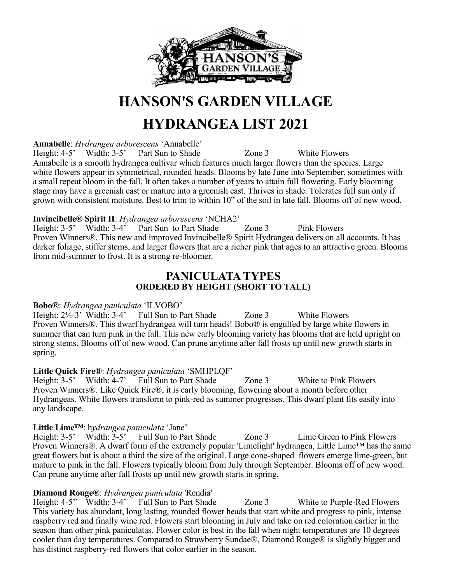

## **HANSON'S GARDEN VILLAGE**

## **HYDRANGEA LIST 2021**

**Annabelle**: *Hydrangea arborescens* 'Annabelle'

Height: 4-5' Width: 3-5' Part Sun to Shade Zone 3 White Flowers Annabelle is a smooth hydrangea cultivar which features much larger flowers than the species. Large white flowers appear in symmetrical, rounded heads. Blooms by late June into September, sometimes with a small repeat bloom in the fall. It often takes a number of years to attain full flowering. Early blooming stage may have a greenish cast or mature into a greenish cast. Thrives in shade. Tolerates full sun only if grown with consistent moisture. Best to trim to within 10" of the soil in late fall. Blooms off of new wood.

#### **Invincibelle® Spirit II**: *Hydrangea arborescens* 'NCHA2'

Height: 3-5' Width: 3-4' Part Sun to Part Shade Zone 3 Pink Flowers Proven Winners®. This new and improved Invincibelle® Spirit Hydrangea delivers on all accounts. It has darker foliage, stiffer stems, and larger flowers that are a richer pink that ages to an attractive green. Blooms from mid-summer to frost. It is a strong re-bloomer.

### **PANICULATA TYPES ORDERED BY HEIGHT (SHORT TO TALL)**

#### **Bobo®**: *Hydrangea paniculata* 'ILVOBO'

Height:  $2\frac{1}{2}$ -3' Width: 3-4' Full Sun to Part Shade Zone 3 White Flowers Proven Winners®. This dwarf hydrangea will turn heads! Bobo® is engulfed by large white flowers in summer that can turn pink in the fall. This new early blooming variety has blooms that are held upright on strong stems. Blooms off of new wood. Can prune anytime after fall frosts up until new growth starts in spring.

### **Little Quick Fire®**: *Hydrangea paniculata* 'SMHPLQF'

Height: 3-5' Width: 4-7' Full Sun to Part Shade Zone 3 White to Pink Flowers Proven Winners®. Like Quick Fire®, it is early blooming, flowering about a month before other Hydrangeas. White flowers transform to pink-red as summer progresses. This dwarf plant fits easily into any landscape.

### **Little Lime™**: h*ydrangea paniculata* 'Jane'

Height: 3-5' Width: 3-5' Full Sun to Part Shade Zone 3 Lime Green to Pink Flowers Proven Winners®. A dwarf form of the extremely popular 'Limelight' hydrangea, Little Lime™ has the same great flowers but is about a third the size of the original. Large cone-shaped flowers emerge lime-green, but mature to pink in the fall. Flowers typically bloom from July through September. Blooms off of new wood. Can prune anytime after fall frosts up until new growth starts in spring.

**Diamond Rouge®**: *Hydrangea paniculata* 'Rendia' Zone 3 White to Purple-Red Flowers This variety has abundant, long lasting, rounded flower heads that start white and progress to pink, intense raspberry red and finally wine red. Flowers start blooming in July and take on red coloration earlier in the season than other pink paniculatas. Flower color is best in the fall when night temperatures are 10 degrees cooler than day temperatures. Compared to Strawberry Sundae®, Diamond Rouge® is slightly bigger and has distinct raspberry-red flowers that color earlier in the season.